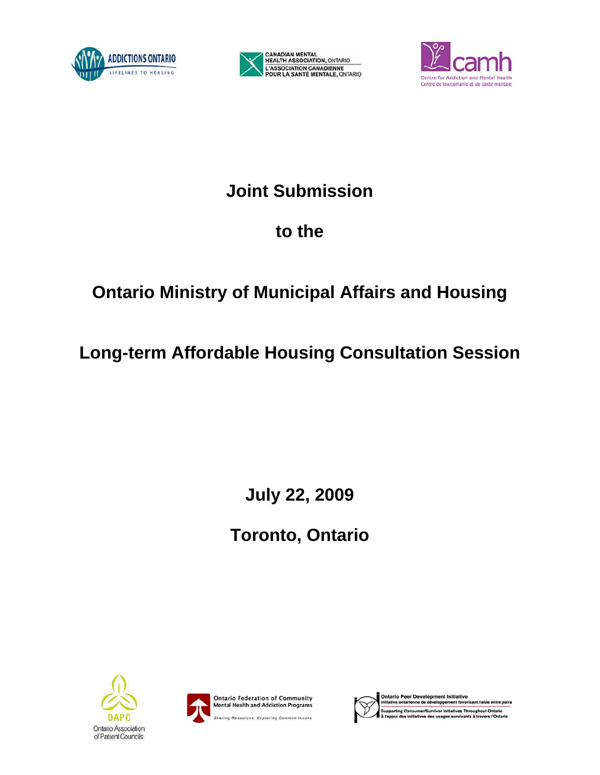





# **Joint Submission**

# **to the**

# **Ontario Ministry of Municipal Affairs and Housing**

# **Long-term Affordable Housing Consultation Session**

**July 22, 2009** 

**Toronto, Ontario**









ment Initiative rio Peer De nt fa ughout Ontario es Thro ravers l'Or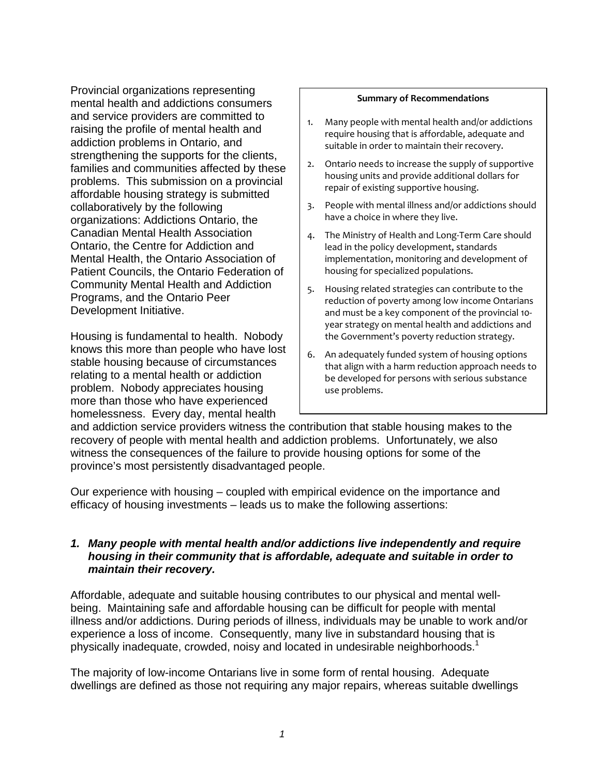Provincial organizations representing mental health and addictions consumers and service providers are committed to raising the profile of mental health and addiction problems in Ontario, and strengthening the supports for the clients, families and communities affected by these problems. This submission on a provincial affordable housing strategy is submitted collaboratively by the following organizations: Addictions Ontario, the Canadian Mental Health Association Ontario, the Centre for Addiction and Mental Health, the Ontario Association of Patient Councils, the Ontario Federation of Community Mental Health and Addiction Programs, and the Ontario Peer Development Initiative.

Housing is fundamental to health. Nobody knows this more than people who have lost stable housing because of circumstances relating to a mental health or addiction problem. Nobody appreciates housing more than those who have experienced homelessness. Every day, mental health

#### **Summary of Recommendations**

- 1. Many people with mental health and/or addictions require housing that is affordable, adequate and suitable in order to maintain their recovery.
- 2. Ontario needs to increase the supply of supportive housing units and provide additional dollars for repair of existing supportive housing.
- 3. People with mental illness and/or addictions should have a choice in where they live.
- 4. The Ministry of Health and Long‐Term Care should lead in the policy development, standards implementation, monitoring and development of housing for specialized populations.
- 5. Housing related strategies can contribute to the reduction of poverty among low income Ontarians and must be a key component of the provincial 10‐ year strategy on mental health and addictions and the Government's poverty reduction strategy.
- 6. An adequately funded system of housing options that align with a harm reduction approach needs to be developed for persons with serious substance use problems.

and addiction service providers witness the contribution that stable housing makes to the recovery of people with mental health and addiction problems. Unfortunately, we also witness the consequences of the failure to provide housing options for some of the province's most persistently disadvantaged people.

Our experience with housing – coupled with empirical evidence on the importance and efficacy of housing investments – leads us to make the following assertions:

## *1. Many people with mental health and/or addictions live independently and require housing in their community that is affordable, adequate and suitable in order to maintain their recovery.*

Affordable, adequate and suitable housing contributes to our physical and mental wellbeing. Maintaining safe and affordable housing can be difficult for people with mental illness and/or addictions. During periods of illness, individuals may be unable to work and/or experience a loss of income. Consequently, many live in substandard housing that is physically inadequate, crowded, noisy and located in undesirable neighborhoods.<sup>1</sup>

The majority of low-income Ontarians live in some form of rental housing. Adequate dwellings are defined as those not requiring any major repairs, whereas suitable dwellings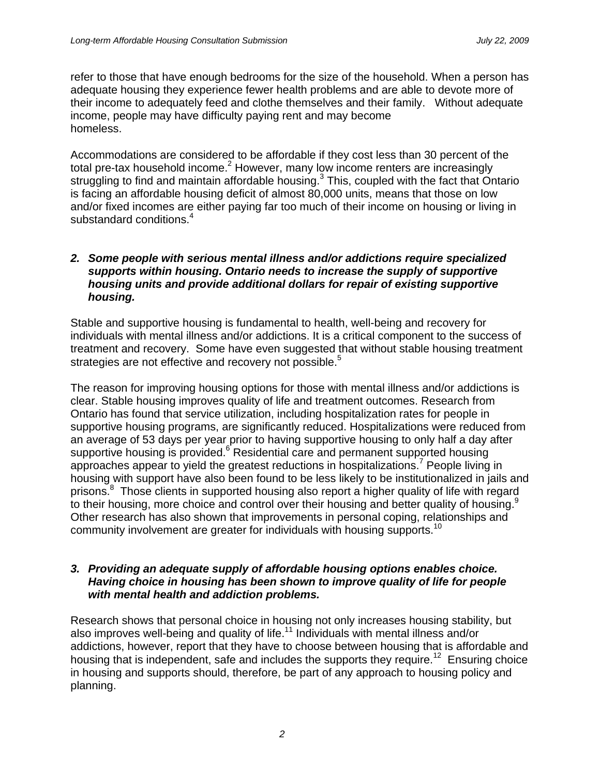refer to those that have enough bedrooms for the size of the household. When a person has adequate housing they experience fewer health problems and are able to devote more of their income to adequately feed and clothe themselves and their family. Without adequate income, people may have difficulty paying rent and may become homeless.

Accommodations are considered to be affordable if they cost less than 30 percent of the total pre-tax household income.<sup>2</sup> However, many low income renters are increasingly struggling to find and maintain affordable housing. $3$  This, coupled with the fact that Ontario is facing an affordable housing deficit of almost 80,000 units, means that those on low and/or fixed incomes are either paying far too much of their income on housing or living in substandard conditions. $4$ 

## *2. Some people with serious mental illness and/or addictions require specialized supports within housing. Ontario needs to increase the supply of supportive housing units and provide additional dollars for repair of existing supportive housing.*

Stable and supportive housing is fundamental to health, well-being and recovery for individuals with mental illness and/or addictions. It is a critical component to the success of treatment and recovery. Some have even suggested that without stable housing treatment strategies are not effective and recovery not possible.<sup>5</sup>

The reason for improving housing options for those with mental illness and/or addictions is clear. Stable housing improves quality of life and treatment outcomes. Research from Ontario has found that service utilization, including hospitalization rates for people in supportive housing programs, are significantly reduced. Hospitalizations were reduced from an average of 53 days per year prior to having supportive housing to only half a day after supportive housing is provided.<sup>6</sup> Residential care and permanent supported housing approaches appear to yield the greatest reductions in hospitalizations.<sup>7</sup> People living in housing with support have also been found to be less likely to be institutionalized in jails and prisons.<sup>8</sup> Those clients in supported housing also report a higher quality of life with regard to their housing, more choice and control over their housing and better quality of housing.<sup>9</sup> Other research has also shown that improvements in personal coping, relationships and community involvement are greater for individuals with housing supports.<sup>10</sup>

#### *3. Providing an adequate supply of affordable housing options enables choice. Having choice in housing has been shown to improve quality of life for people with mental health and addiction problems.*

Research shows that personal choice in housing not only increases housing stability, but also improves well-being and quality of life.11 Individuals with mental illness and/or addictions, however, report that they have to choose between housing that is affordable and housing that is independent, safe and includes the supports they require.<sup>12</sup> Ensuring choice in housing and supports should, therefore, be part of any approach to housing policy and planning.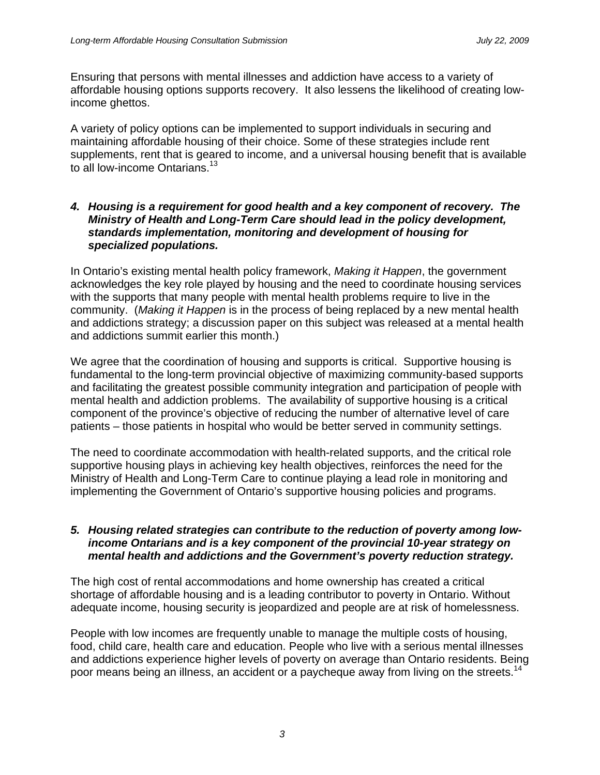Ensuring that persons with mental illnesses and addiction have access to a variety of affordable housing options supports recovery. It also lessens the likelihood of creating lowincome ghettos.

A variety of policy options can be implemented to support individuals in securing and maintaining affordable housing of their choice. Some of these strategies include rent supplements, rent that is geared to income, and a universal housing benefit that is available to all low-income Ontarians.<sup>13</sup>

#### *4. Housing is a requirement for good health and a key component of recovery. The Ministry of Health and Long-Term Care should lead in the policy development, standards implementation, monitoring and development of housing for specialized populations.*

In Ontario's existing mental health policy framework, *Making it Happen*, the government acknowledges the key role played by housing and the need to coordinate housing services with the supports that many people with mental health problems require to live in the community. (*Making it Happen* is in the process of being replaced by a new mental health and addictions strategy; a discussion paper on this subject was released at a mental health and addictions summit earlier this month.)

We agree that the coordination of housing and supports is critical. Supportive housing is fundamental to the long-term provincial objective of maximizing community-based supports and facilitating the greatest possible community integration and participation of people with mental health and addiction problems. The availability of supportive housing is a critical component of the province's objective of reducing the number of alternative level of care patients – those patients in hospital who would be better served in community settings.

The need to coordinate accommodation with health-related supports, and the critical role supportive housing plays in achieving key health objectives, reinforces the need for the Ministry of Health and Long-Term Care to continue playing a lead role in monitoring and implementing the Government of Ontario's supportive housing policies and programs.

## *5. Housing related strategies can contribute to the reduction of poverty among lowincome Ontarians and is a key component of the provincial 10-year strategy on mental health and addictions and the Government's poverty reduction strategy.*

The high cost of rental accommodations and home ownership has created a critical shortage of affordable housing and is a leading contributor to poverty in Ontario. Without adequate income, housing security is jeopardized and people are at risk of homelessness.

People with low incomes are frequently unable to manage the multiple costs of housing, food, child care, health care and education. People who live with a serious mental illnesses and addictions experience higher levels of poverty on average than Ontario residents. Being poor means being an illness, an accident or a paycheque away from living on the streets.<sup>14</sup>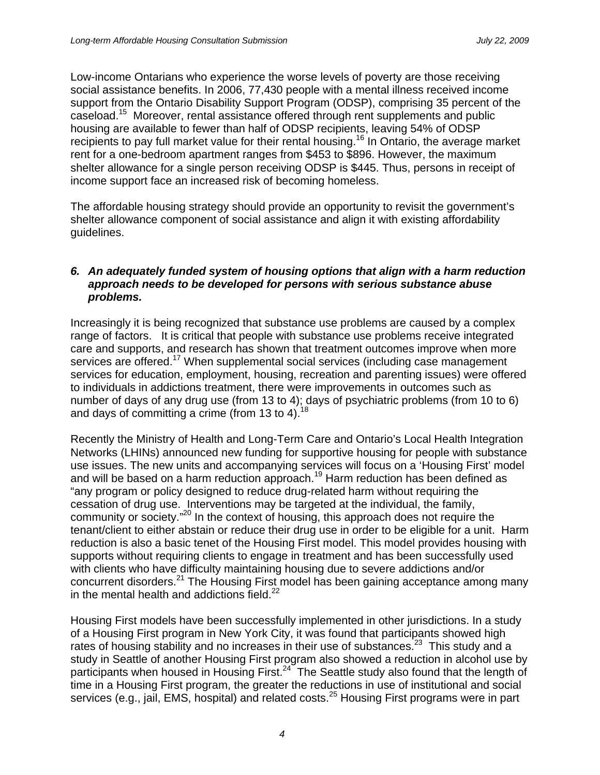Low-income Ontarians who experience the worse levels of poverty are those receiving social assistance benefits. In 2006, 77,430 people with a mental illness received income support from the Ontario Disability Support Program (ODSP), comprising 35 percent of the caseload.15 Moreover, rental assistance offered through rent supplements and public housing are available to fewer than half of ODSP recipients, leaving 54% of ODSP recipients to pay full market value for their rental housing.<sup>16</sup> In Ontario, the average market rent for a one-bedroom apartment ranges from \$453 to \$896. However, the maximum shelter allowance for a single person receiving ODSP is \$445. Thus, persons in receipt of income support face an increased risk of becoming homeless.

The affordable housing strategy should provide an opportunity to revisit the government's shelter allowance component of social assistance and align it with existing affordability guidelines.

#### *6. An adequately funded system of housing options that align with a harm reduction approach needs to be developed for persons with serious substance abuse problems.*

Increasingly it is being recognized that substance use problems are caused by a complex range of factors. It is critical that people with substance use problems receive integrated care and supports, and research has shown that treatment outcomes improve when more services are offered.<sup>17</sup> When supplemental social services (including case management services for education, employment, housing, recreation and parenting issues) were offered to individuals in addictions treatment, there were improvements in outcomes such as number of days of any drug use (from 13 to 4); days of psychiatric problems (from 10 to 6) and days of committing a crime (from 13 to 4).<sup>18</sup>

Recently the Ministry of Health and Long-Term Care and Ontario's Local Health Integration Networks (LHINs) announced new funding for supportive housing for people with substance use issues. The new units and accompanying services will focus on a 'Housing First' model and will be based on a harm reduction approach.19 Harm reduction has been defined as "any program or policy designed to reduce drug-related harm without requiring the cessation of drug use. Interventions may be targeted at the individual, the family, community or society."20 In the context of housing, this approach does not require the tenant/client to either abstain or reduce their drug use in order to be eligible for a unit. Harm reduction is also a basic tenet of the Housing First model. This model provides housing with supports without requiring clients to engage in treatment and has been successfully used with clients who have difficulty maintaining housing due to severe addictions and/or concurrent disorders.21 The Housing First model has been gaining acceptance among many in the mental health and addictions  $\tilde{f}$ ield.<sup>22</sup>

Housing First models have been successfully implemented in other jurisdictions. In a study of a Housing First program in New York City, it was found that participants showed high rates of housing stability and no increases in their use of substances.<sup>23</sup> This study and a study in Seattle of another Housing First program also showed a reduction in alcohol use by participants when housed in Housing First. $24^{\circ}$  The Seattle study also found that the length of time in a Housing First program, the greater the reductions in use of institutional and social services (e.g., jail, EMS, hospital) and related costs.<sup>25</sup> Housing First programs were in part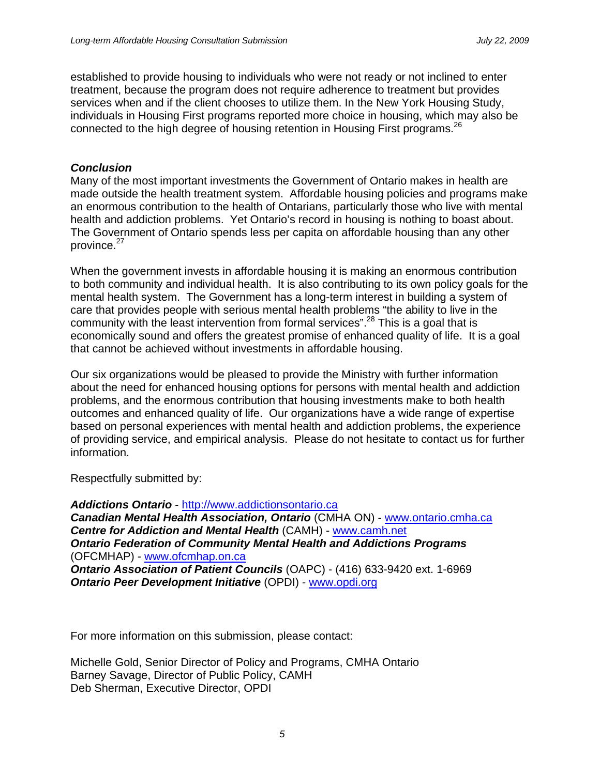established to provide housing to individuals who were not ready or not inclined to enter treatment, because the program does not require adherence to treatment but provides services when and if the client chooses to utilize them. In the New York Housing Study, individuals in Housing First programs reported more choice in housing, which may also be connected to the high degree of housing retention in Housing First programs.<sup>26</sup>

#### *Conclusion*

Many of the most important investments the Government of Ontario makes in health are made outside the health treatment system. Affordable housing policies and programs make an enormous contribution to the health of Ontarians, particularly those who live with mental health and addiction problems. Yet Ontario's record in housing is nothing to boast about. The Government of Ontario spends less per capita on affordable housing than any other province.<sup>27</sup>

When the government invests in affordable housing it is making an enormous contribution to both community and individual health. It is also contributing to its own policy goals for the mental health system. The Government has a long-term interest in building a system of care that provides people with serious mental health problems "the ability to live in the community with the least intervention from formal services".<sup>28</sup> This is a goal that is economically sound and offers the greatest promise of enhanced quality of life. It is a goal that cannot be achieved without investments in affordable housing.

Our six organizations would be pleased to provide the Ministry with further information about the need for enhanced housing options for persons with mental health and addiction problems, and the enormous contribution that housing investments make to both health outcomes and enhanced quality of life. Our organizations have a wide range of expertise based on personal experiences with mental health and addiction problems, the experience of providing service, and empirical analysis. Please do not hesitate to contact us for further information.

Respectfully submitted by:

*Addictions Ontario* - http://www.addictionsontario.ca *Canadian Mental Health Association, Ontario* (CMHA ON) - www.ontario.cmha.ca *Centre for Addiction and Mental Health* (CAMH) - www.camh.net *Ontario Federation of Community Mental Health and Addictions Programs* (OFCMHAP) - www.ofcmhap.on.ca *Ontario Association of Patient Councils* (OAPC) - (416) 633-9420 ext. 1-6969 *Ontario Peer Development Initiative* (OPDI) - www.opdi.org

For more information on this submission, please contact:

Michelle Gold, Senior Director of Policy and Programs, CMHA Ontario Barney Savage, Director of Public Policy, CAMH Deb Sherman, Executive Director, OPDI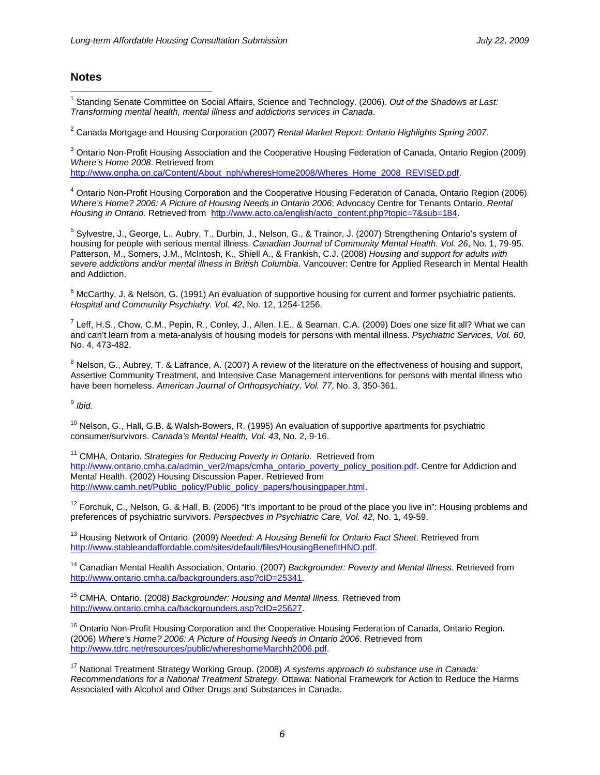#### **Notes**

 $\overline{a}$ <sup>1</sup> Standing Senate Committee on Social Affairs, Science and Technology. (2006). Out of the Shadows at Last: *Transforming mental health, mental illness and addictions services in Canada*.

2 Canada Mortgage and Housing Corporation (2007) *Rental Market Report: Ontario Highlights Spring 2007.* 

 $3$  Ontario Non-Profit Housing Association and the Cooperative Housing Federation of Canada, Ontario Region (2009) *Where's Home 2008*. Retrieved from

http://www.onpha.on.ca/Content/About\_nph/wheresHome2008/Wheres\_Home\_2008\_REVISED.pdf.

<sup>4</sup> Ontario Non-Profit Housing Corporation and the Cooperative Housing Federation of Canada, Ontario Region (2006) *Where's Home? 2006: A Picture of Housing Needs in Ontario 2006*; Advocacy Centre for Tenants Ontario. *Rental Housing in Ontario.* Retrieved fromhttp://www.acto.ca/english/acto\_content.php?topic=7&sub=184.

<sup>5</sup> Sylvestre, J., George, L., Aubry, T., Durbin, J., Nelson, G., & Trainor, J. (2007) Strengthening Ontario's system of housing for people with serious mental illness. *Canadian Journal of Community Mental Health. Vol. 26*, No. 1, 79-95. Patterson, M., Somers, J.M., McIntosh, K., Shiell A., & Frankish, C.J. (2008) *Housing and support for adults with severe addictions and/or mental illness in British Columbia*. Vancouver: Centre for Applied Research in Mental Health and Addiction.

 $6$  McCarthy, J. & Nelson, G. (1991) An evaluation of supportive housing for current and former psychiatric patients. *Hospital and Community Psychiatry. Vol. 42*, No. 12, 1254-1256.

 $^7$  Leff, H.S., Chow, C.M., Pepin, R., Conley, J., Allen, I.E., & Seaman, C.A. (2009) Does one size fit all? What we can and can't learn from a meta-analysis of housing models for persons with mental illness. *Psychiatric Services, Vol. 60*, No. 4, 473-482.

 $^8$  Nelson, G., Aubrey, T. & Lafrance, A. (2007) A review of the literature on the effectiveness of housing and support, Assertive Community Treatment, and Intensive Case Management interventions for persons with mental illness who have been homeless. *American Journal of Orthopsychiatry, Vol. 77*, No. 3, 350-361.

<sup>9</sup> *Ibid.*

<sup>10</sup> Nelson, G., Hall, G.B. & Walsh-Bowers, R. (1995) An evaluation of supportive apartments for psychiatric consumer/survivors. *Canada's Mental Health, Vol. 43*, No. 2, 9-16.

11 CMHA, Ontario. *Strategies for Reducing Poverty in Ontario*. Retrieved from http://www.ontario.cmha.ca/admin\_ver2/maps/cmha\_ontario\_poverty\_policy\_position.pdf. Centre for Addiction and Mental Health. (2002) Housing Discussion Paper. Retrieved from http://www.camh.net/Public\_policy/Public\_policy\_papers/housingpaper.html.

 $12$  Forchuk, C., Nelson, G. & Hall, B. (2006) "It's important to be proud of the place you live in": Housing problems and preferences of psychiatric survivors. *Perspectives in Psychiatric Care, Vol. 42*, No. 1, 49-59.

13 Housing Network of Ontario. (2009) *Needed: A Housing Benefit for Ontario Fact Sheet*. Retrieved from http://www.stableandaffordable.com/sites/default/files/HousingBenefitHNO.pdf.

14 Canadian Mental Health Association, Ontario. (2007) *Backgrounder: Poverty and Mental Illness*. Retrieved from http://www.ontario.cmha.ca/backgrounders.asp?cID=25341.

15 CMHA, Ontario. (2008) *Backgrounder: Housing and Mental Illness*. Retrieved from http://www.ontario.cmha.ca/backgrounders.asp?cID=25627.

<sup>16</sup> Ontario Non-Profit Housing Corporation and the Cooperative Housing Federation of Canada, Ontario Region. (2006) *Where's Home? 2006: A Picture of Housing Needs in Ontario 2006.* Retrieved from http://www.tdrc.net/resources/public/whereshomeMarchh2006.pdf.

17 National Treatment Strategy Working Group. (2008) *A systems approach to substance use in Canada: Recommendations for a National Treatment Strategy*. Ottawa: National Framework for Action to Reduce the Harms Associated with Alcohol and Other Drugs and Substances in Canada.